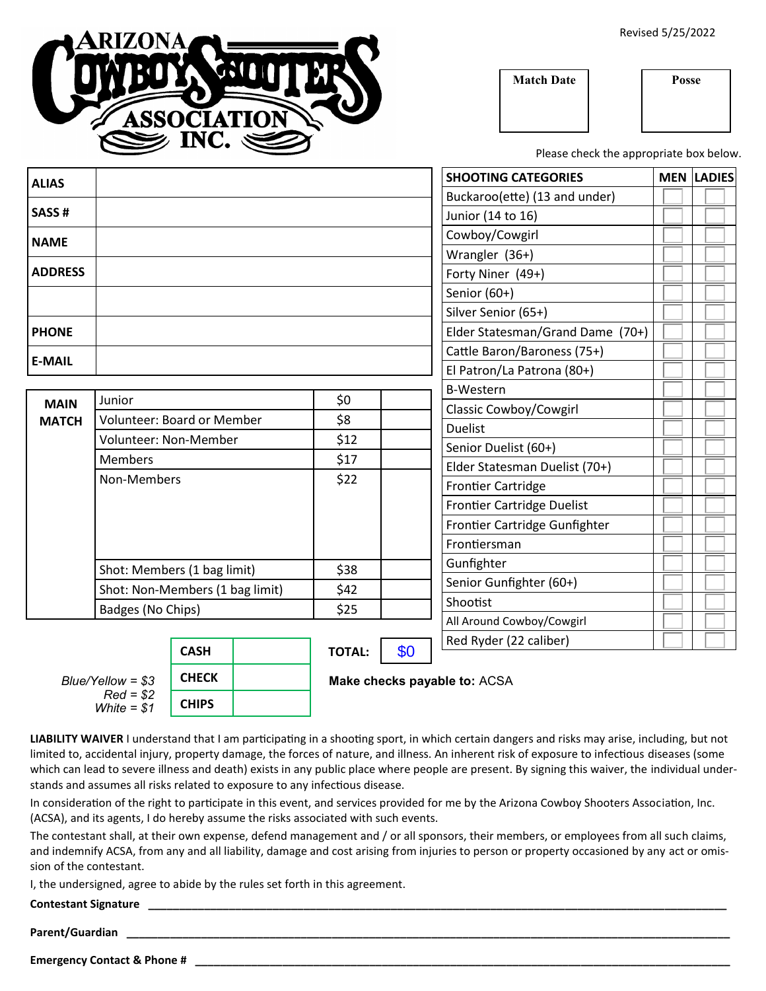Revised 5/25/2022

**Match Date Posse**

Please check the appropriate box below.

| <b>ALIAS</b>                    |                                 |              |  |                              |     |            | <b>SHOOTING CATEGORIES</b>        | <b>MEN LADIES</b> |  |
|---------------------------------|---------------------------------|--------------|--|------------------------------|-----|------------|-----------------------------------|-------------------|--|
|                                 |                                 |              |  |                              |     |            | Buckaroo(ette) (13 and under)     |                   |  |
| SASS#                           |                                 |              |  |                              |     |            | Junior (14 to 16)                 |                   |  |
| <b>NAME</b>                     |                                 |              |  |                              |     |            | Cowboy/Cowgirl                    |                   |  |
|                                 |                                 |              |  |                              |     |            | Wrangler (36+)                    |                   |  |
| <b>ADDRESS</b>                  |                                 |              |  |                              |     |            | Forty Niner (49+)                 |                   |  |
|                                 |                                 |              |  |                              |     |            | Senior (60+)                      |                   |  |
|                                 |                                 |              |  |                              |     |            | Silver Senior (65+)               |                   |  |
| <b>PHONE</b>                    |                                 |              |  |                              |     |            | Elder Statesman/Grand Dame (70+)  |                   |  |
| <b>E-MAIL</b>                   |                                 |              |  |                              |     |            | Cattle Baron/Baroness (75+)       |                   |  |
|                                 |                                 |              |  |                              |     |            | El Patron/La Patrona (80+)        |                   |  |
|                                 | Junior                          |              |  | \$0                          |     |            | <b>B-Western</b>                  |                   |  |
| <b>MAIN</b><br><b>MATCH</b>     | Volunteer: Board or Member      |              |  | \$8                          |     |            | Classic Cowboy/Cowgirl            |                   |  |
|                                 |                                 |              |  | \$12                         |     |            | <b>Duelist</b>                    |                   |  |
|                                 | Volunteer: Non-Member           |              |  |                              |     |            | Senior Duelist (60+)              |                   |  |
|                                 | <b>Members</b>                  |              |  | \$17                         |     |            | Elder Statesman Duelist (70+)     |                   |  |
|                                 | Non-Members                     |              |  | \$22                         |     |            | <b>Frontier Cartridge</b>         |                   |  |
|                                 |                                 |              |  |                              |     |            | <b>Frontier Cartridge Duelist</b> |                   |  |
|                                 |                                 |              |  |                              |     |            | Frontier Cartridge Gunfighter     |                   |  |
|                                 |                                 |              |  |                              |     |            | Frontiersman                      |                   |  |
|                                 | Shot: Members (1 bag limit)     |              |  | \$38                         |     | Gunfighter |                                   |                   |  |
|                                 | Shot: Non-Members (1 bag limit) |              |  | \$42                         |     |            | Senior Gunfighter (60+)           |                   |  |
|                                 | Badges (No Chips)               |              |  | \$25                         |     |            | Shootist                          |                   |  |
|                                 |                                 |              |  |                              |     |            | All Around Cowboy/Cowgirl         |                   |  |
|                                 |                                 | <b>CASH</b>  |  | <b>TOTAL:</b>                | \$0 |            | Red Ryder (22 caliber)            |                   |  |
| Blue/Yellow = \$3<br>$Red = $2$ |                                 | <b>CHECK</b> |  |                              |     |            |                                   |                   |  |
|                                 |                                 |              |  | Make checks payable to: ACSA |     |            |                                   |                   |  |

**LIABILITY WAIVER** I understand that I am participating in a shooting sport, in which certain dangers and risks may arise, including, but not limited to, accidental injury, property damage, the forces of nature, and illness. An inherent risk of exposure to infectious diseases (some which can lead to severe illness and death) exists in any public place where people are present. By signing this waiver, the individual understands and assumes all risks related to exposure to any infectious disease.

In consideration of the right to participate in this event, and services provided for me by the Arizona Cowboy Shooters Association, Inc. (ACSA), and its agents, I do hereby assume the risks associated with such events.

The contestant shall, at their own expense, defend management and / or all sponsors, their members, or employees from all such claims, and indemnify ACSA, from any and all liability, damage and cost arising from injuries to person or property occasioned by any act or omission of the contestant.

I, the undersigned, agree to abide by the rules set forth in this agreement.

**CHIPS**

**Contestant Signature \_\_\_\_\_\_\_\_\_\_\_\_\_\_\_\_\_\_\_\_\_\_\_\_\_\_\_\_\_\_\_\_\_\_\_\_\_\_\_\_\_\_\_\_\_\_\_\_\_\_\_\_\_\_\_\_\_\_\_\_\_\_\_\_\_\_\_\_\_\_\_\_\_\_\_\_\_\_\_\_\_\_\_\_\_\_\_\_\_\_\_\_\_**

**Parent/Guardian \_\_\_\_\_\_\_\_\_\_\_\_\_\_\_\_\_\_\_\_\_\_\_\_\_\_\_\_\_\_\_\_\_\_\_\_\_\_\_\_\_\_\_\_\_\_\_\_\_\_\_\_\_\_\_\_\_\_\_\_\_\_\_\_\_\_\_\_\_\_\_\_\_\_\_\_\_\_\_\_\_\_\_\_\_\_\_\_\_\_\_\_\_\_\_\_\_**

**Emergency Contact & Phone #** 

*White = \$1*